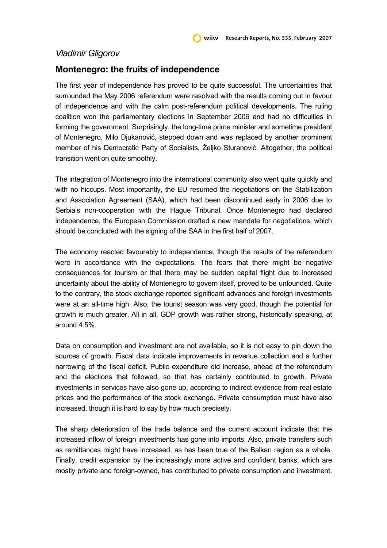## *Vladimir Gligorov*

## **Montenegro: the fruits of independence**

The first year of independence has proved to be quite successful. The uncertainties that surrounded the May 2006 referendum were resolved with the results coming out in favour of independence and with the calm post-referendum political developments. The ruling coalition won the parliamentary elections in September 2006 and had no difficulties in forming the government. Surprisingly, the long-time prime minister and sometime president of Montenegro, Milo Djukanović, stepped down and was replaced by another prominent member of his Democratic Party of Socialists, Željko Sturanović. Altogether, the political transition went on quite smoothly.

The integration of Montenegro into the international community also went quite quickly and with no hiccups. Most importantly, the EU resumed the negotiations on the Stabilization and Association Agreement (SAA), which had been discontinued early in 2006 due to Serbia's non-cooperation with the Hague Tribunal. Once Montenegro had declared independence, the European Commission drafted a new mandate for negotiations, which should be concluded with the signing of the SAA in the first half of 2007.

The economy reacted favourably to independence, though the results of the referendum were in accordance with the expectations. The fears that there might be negative consequences for tourism or that there may be sudden capital flight due to increased uncertainty about the ability of Montenegro to govern itself, proved to be unfounded. Quite to the contrary, the stock exchange reported significant advances and foreign investments were at an all-time high. Also, the tourist season was very good, though the potential for growth is much greater. All in all, GDP growth was rather strong, historically speaking, at around 4.5%.

Data on consumption and investment are not available, so it is not easy to pin down the sources of growth. Fiscal data indicate improvements in revenue collection and a further narrowing of the fiscal deficit. Public expenditure did increase, ahead of the referendum and the elections that followed, so that has certainly contributed to growth. Private investments in services have also gone up, according to indirect evidence from real estate prices and the performance of the stock exchange. Private consumption must have also increased, though it is hard to say by how much precisely.

The sharp deterioration of the trade balance and the current account indicate that the increased inflow of foreign investments has gone into imports. Also, private transfers such as remittances might have increased, as has been true of the Balkan region as a whole. Finally, credit expansion by the increasingly more active and confident banks, which are mostly private and foreign-owned, has contributed to private consumption and investment.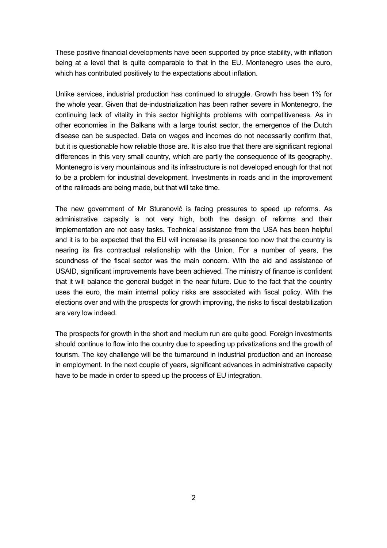These positive financial developments have been supported by price stability, with inflation being at a level that is quite comparable to that in the EU. Montenegro uses the euro, which has contributed positively to the expectations about inflation.

Unlike services, industrial production has continued to struggle. Growth has been 1% for the whole year. Given that de-industrialization has been rather severe in Montenegro, the continuing lack of vitality in this sector highlights problems with competitiveness. As in other economies in the Balkans with a large tourist sector, the emergence of the Dutch disease can be suspected. Data on wages and incomes do not necessarily confirm that, but it is questionable how reliable those are. It is also true that there are significant regional differences in this very small country, which are partly the consequence of its geography. Montenegro is very mountainous and its infrastructure is not developed enough for that not to be a problem for industrial development. Investments in roads and in the improvement of the railroads are being made, but that will take time.

The new government of Mr Sturanović is facing pressures to speed up reforms. As administrative capacity is not very high, both the design of reforms and their implementation are not easy tasks. Technical assistance from the USA has been helpful and it is to be expected that the EU will increase its presence too now that the country is nearing its firs contractual relationship with the Union. For a number of years, the soundness of the fiscal sector was the main concern. With the aid and assistance of USAID, significant improvements have been achieved. The ministry of finance is confident that it will balance the general budget in the near future. Due to the fact that the country uses the euro, the main internal policy risks are associated with fiscal policy. With the elections over and with the prospects for growth improving, the risks to fiscal destabilization are very low indeed.

The prospects for growth in the short and medium run are quite good. Foreign investments should continue to flow into the country due to speeding up privatizations and the growth of tourism. The key challenge will be the turnaround in industrial production and an increase in employment. In the next couple of years, significant advances in administrative capacity have to be made in order to speed up the process of EU integration.